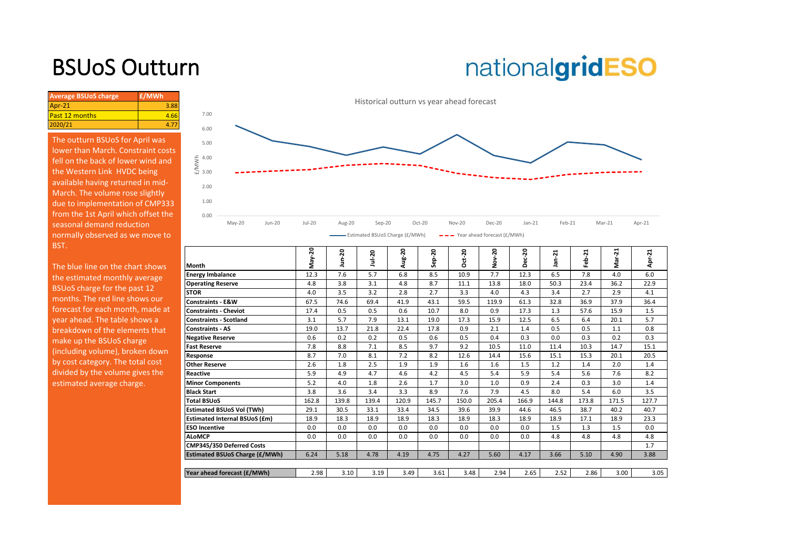## BSUoS Outturn

# nationalgridESO

| <b>Average BSUoS charge</b> | £/MWh |
|-----------------------------|-------|
| $Apr-21$                    | 3.88  |
| <b>Past 12 months</b>       | 4.66  |
| 2020/21                     |       |

The outturn BSUoS for April was lower than March. Constraint costs fell on the back of lower wind and the Western Link HVDC being available having returned in mid-March. The volume rose slightly due to implementation of CMP333 from the 1st April which offset the seasonal demand reduction normally observed as we move to BST.



| The blue line on the chart shows                                                              | Month                                 | May-20 | ន<br>э | Jul-20 | Aug-20 | $Step-20$ | $Oct-20$ | -20<br>ş | $ec-20$<br>ñ | ⊣<br>$\mathbf{\tilde{N}}$<br>ä, | Ľ.<br>흢 | ដ<br>ਨੋ<br>Σ | 21<br>휵 |
|-----------------------------------------------------------------------------------------------|---------------------------------------|--------|--------|--------|--------|-----------|----------|----------|--------------|---------------------------------|---------|--------------|---------|
| the estimated monthly average                                                                 | <b>Energy Imbalance</b>               | 12.3   | 7.6    | 5.7    | 6.8    | 8.5       | 10.9     | 7.7      | 12.3         | 6.5                             | 7.8     | 4.0          | 6.0     |
| BSUoS charge for the past 12                                                                  | <b>Operating Reserve</b>              | 4.8    | 3.8    | 3.1    | 4.8    | 8.7       | 11.1     | 13.8     | 18.0         | 50.3                            | 23.4    | 36.2         | 22.9    |
|                                                                                               | <b>STOR</b>                           | 4.0    | 3.5    | 3.2    | 2.8    | 2.7       | 3.3      | 4.0      | 4.3          | 3.4                             | 2.7     | 2.9          | 4.1     |
| months. The red line shows our                                                                | <b>Constraints - E&amp;W</b>          | 67.5   | 74.6   | 69.4   | 41.9   | 43.1      | 59.5     | 119.9    | 61.3         | 32.8                            | 36.9    | 37.9         | 36.4    |
| forecast for each month, made at                                                              | <b>Constraints - Cheviot</b>          | 17.4   | 0.5    | 0.5    | 0.6    | 10.7      | 8.0      | 0.9      | 17.3         | 1.3                             | 57.6    | 15.9         | 1.5     |
| year ahead. The table shows a                                                                 | <b>Constraints - Scotland</b>         | 3.1    | 5.7    | 7.9    | 13.1   | 19.0      | 17.3     | 15.9     | 12.5         | 6.5                             | 6.4     | 20.1         | 5.7     |
| breakdown of the elements that<br>make up the BSUoS charge<br>(including volume), broken down | <b>Constraints - AS</b>               | 19.0   | 13.7   | 21.8   | 22.4   | 17.8      | 0.9      | 2.1      | 1.4          | 0.5                             | 0.5     | 1.1          | 0.8     |
|                                                                                               | <b>Negative Reserve</b>               | 0.6    | 0.2    | 0.2    | 0.5    | 0.6       | 0.5      | 0.4      | 0.3          | 0.0                             | 0.3     | 0.2          | 0.3     |
|                                                                                               | <b>Fast Reserve</b>                   | 7.8    | 8.8    | 7.1    | 8.5    | 9.7       | 9.2      | 10.5     | 11.0         | 11.4                            | 10.3    | 14.7         | 15.1    |
|                                                                                               | Response                              | 8.7    | 7.0    | 8.1    | 7.2    | 8.2       | 12.6     | 14.4     | 15.6         | 15.1                            | 15.3    | 20.1         | 20.5    |
| by cost category. The total cost                                                              | <b>Other Reserve</b>                  | 2.6    | 1.8    | 2.5    | 1.9    | 1.9       | 1.6      | 1.6      | 1.5          | 1.2                             | 1.4     | 2.0          | 1.4     |
| divided by the volume gives the                                                               | <b>Reactive</b>                       | 5.9    | 4.9    | 4.7    | 4.6    | 4.2       | 4.5      | 5.4      | 5.9          | 5.4                             | 5.6     | 7.6          | 8.2     |
| estimated average charge.                                                                     | <b>Minor Components</b>               | 5.2    | 4.0    | 1.8    | 2.6    | 1.7       | 3.0      | 1.0      | 0.9          | 2.4                             | 0.3     | 3.0          | 1.4     |
|                                                                                               | <b>Black Start</b>                    | 3.8    | 3.6    | 3.4    | 3.3    | 8.9       | 7.6      | 7.9      | 4.5          | 8.0                             | 5.4     | 6.0          | 3.5     |
|                                                                                               | <b>Total BSUoS</b>                    | 162.8  | 139.8  | 139.4  | 120.9  | 145.7     | 150.0    | 205.4    | 166.9        | 144.8                           | 173.8   | 171.5        | 127.7   |
|                                                                                               | <b>Estimated BSUoS Vol (TWh)</b>      | 29.1   | 30.5   | 33.1   | 33.4   | 34.5      | 39.6     | 39.9     | 44.6         | 46.5                            | 38.7    | 40.2         | 40.7    |
|                                                                                               | Estimated Internal BSUoS (£m)         | 18.9   | 18.3   | 18.9   | 18.9   | 18.3      | 18.9     | 18.3     | 18.9         | 18.9                            | 17.1    | 18.9         | 23.3    |
|                                                                                               | <b>ESO Incentive</b>                  | 0.0    | 0.0    | 0.0    | 0.0    | 0.0       | 0.0      | 0.0      | 0.0          | 1.5                             | 1.3     | 1.5          | 0.0     |
|                                                                                               | <b>ALOMCP</b>                         | 0.0    | 0.0    | 0.0    | 0.0    | 0.0       | 0.0      | 0.0      | 0.0          | 4.8                             | 4.8     | 4.8          | 4.8     |
|                                                                                               | CMP345/350 Deferred Costs             |        |        |        |        |           |          |          |              |                                 |         |              | 1.7     |
|                                                                                               | <b>Estimated BSUoS Charge (£/MWh)</b> | 6.24   | 5.18   | 4.78   | 4.19   | 4.75      | 4.27     | 5.60     | 4.17         | 3.66                            | 5.10    | 4.90         | 3.88    |
|                                                                                               |                                       |        |        |        |        |           |          |          |              |                                 |         |              |         |
|                                                                                               | Year ahead forecast (£/MWh)           | 2.98   | 3.10   | 3.19   | 3.49   | 3.61      | 3.48     | 2.94     | 2.65         | 2.52                            | 2.86    | 3.00         | 3.05    |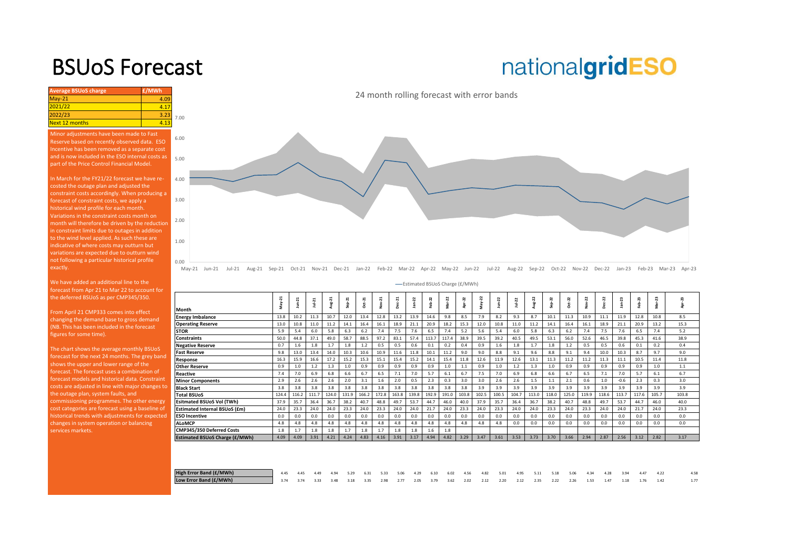### BSUoS Forecast

## nationalgridESO

**Average BSUoS charge £/MWh £/MWh** May-21 4.09 <mark>2021/22 4.17</mark><br>2022/23 3.23 2022/23<br>Next 12 months 4.13 Next 12 months 3.00 5.00 6.00 7.00 Minor adjustments have been made to Fast Reserve based on recently observed data. ESO Incentive has been removed as a separate cost and is now included in the ESO internal costs as part of the Price Control Financial Model. In March for the FY21/22 forecast we have recosted the outage plan and adjusted the constraint costs accordingly. When producing a forecast of constraint costs, we apply a historical wind profile for each month. Variations in the constraint costs month on

[month will therefore be driven by the reduction](https://www.nationalgrideso.com/charging/balancing-services-use-system-bsuos-charges)  in constraint limits due to outages in addition to the wind level applied. As such these are indicative of where costs may outturn but variations are expected due to outturn wind not following a particular historical profile exactly.

We have added an additional line to the forecast from Apr 21 to Mar 22 to account for the deferred BSUoS as per CMP345/350.

From April 21 CMP333 comes into effect changing the demand base to gross demand (NB. This has been included in the forecast figures for some time).

The chart shows the average monthly BSUoS forecast for the next 24 months. The grey band shows the upper and lower range of the forecast. The forecast uses a combination of forecast models and historical data. Constraint costs are adjusted in line with major changes to the outage plan, system faults, and commissioning programmes. The other energy cost categories are forecast using a baseline of historical trends with adjustments for expected changes in system operation or balancing

24 month rolling forecast with error bands



May-21 Jun-21 Jul-21 Aug-21 Sep-21 Oct-21 Nov-21 Dec-21 Jan-22 Feb-22 Mar-22 Apr-22 May-22 Jun-22 Jul-22 Aug-22 Sep-22 Oct-22 Nov-22 Dec-22 Jan-23 Feb-23 Mar-23 Apr-23

Estimated BSUoS Charge (£/MWh)

| Month                                 |       | ಸ     | ᅺ<br>Ξ | Aug-21 | $Sep-21$ | ដុ    | $ov-21$ | $^{c21}$<br>ā | $Jan-22$ | eb-22 | ನ<br>ŝ | 22    | 22<br>Νaγ | R     | $1u + 22$ | 22    | ž,<br>å | $1 - 22$<br>Ő | ង<br>à | $\overline{c}$<br>ă | ಇ<br>Ė. | eb-23 |       | N     |
|---------------------------------------|-------|-------|--------|--------|----------|-------|---------|---------------|----------|-------|--------|-------|-----------|-------|-----------|-------|---------|---------------|--------|---------------------|---------|-------|-------|-------|
| <b>Energy Imbalance</b>               | 13.8  | 10.2  | 11.3   | 10.7   | 12.0     | 13.4  | 12.8    | 13.2          | 13.9     | 14.6  | 9.8    | 8.5   | 7.9       | 8.2   | 9.3       | 8.7   | 10.1    | 11.3          | 10.9   | 11.1                | 11.9    | 12.8  | 10.8  | 8.5   |
| <b>Operating Reserve</b>              | 13.0  | 10.8  | 11.0   | 11.2   | 14.1     | 16.4  | 16.1    | 18.9          | 21.1     | 20.9  | 18.2   | 15.3  | 12.0      | 10.8  | 11.0      | 11.2  | 14.1    | 16.4          | 16.1   | 18.9                | 21.1    | 20.9  | 13.2  | 15.3  |
| <b>STOR</b>                           | 5.9   | 5.4   | 6.0    | 5.8    | 6.3      | 6.2   | 7.4     | 7.5           | 7.6      | 6.5   | 7.4    | 5.2   | 5.6       | 5.4   | 6.0       | 5.8   | 6.3     | 6.2           | 7.4    | 7.5                 | 7.6     | 6.5   | 7.4   | 5.2   |
| <b>Constraints</b>                    | 50.0  | 44.8  | 37.1   | 49.0   | 58.7     | 88.5  | 97.2    | 83.1          | 57.4     | 113.7 | 117.4  | 38.9  | 39.5      | 39.2  | 40.5      | 49.5  | 53.1    | 56.0          | 52.6   | 46.5                | 39.8    | 45.3  | 41.6  | 38.9  |
| <b>Negative Reserve</b>               | 0.7   | 1.6   | 1.8    | 1.7    | 1.8      | 1.2   | 0.5     | 0.5           | 0.6      | 0.1   | 0.2    | 0.4   | 0.9       | 1.6   | 1.8       | 1.7   | 1.8     | 1.2           | 0.5    | 0.5                 | 0.6     | 0.1   | 0.2   | 0.4   |
| <b>Fast Reserve</b>                   | 9.8   | 13.0  | 13.4   | 14.0   | 10.3     | 10.6  | 10.9    | 11.6          | 11.8     | 10.1  | 11.2   | 9.0   | 9.0       | 8.8   | 9.1       | 9.6   | 8.8     | 9.1           | 9.4    | 10.0                | 10.3    | 8.7   | 9.7   | 9.0   |
| Response                              | 16.3  | 15.9  | 16.6   | 17.2   | 15.2     | 15.3  | 15.1    | 15.4          | 15.2     | 14.1  | 15.4   | 11.8  | 12.6      | 11.9  | 12.6      | 13.1  | 11.3    | 11.2          | 11.2   | 11.3                | 11.1    | 10.5  | 11.4  | 11.8  |
| <b>Other Reserve</b>                  | 0.9   | 1.0   | 1.2    | 1.3    | 1.0      | 0.9   | 0.9     | 0.9           | 0.9      | 0.9   | 1.0    | $1.1$ | 0.9       | 1.0   | 1.2       | 1.3   | 1.0     | 0.9           | 0.9    | 0.9                 | 0.9     | 0.9   | 1.0   | 1.1   |
| Reactive                              | 7.4   | 7.0   | 6.9    | 6.8    | 6.6      | 6.7   | 6.5     | 7.1           | 7.0      | 5.7   | 6.1    | 6.7   | 7.5       | 7.0   | 6.9       | 6.8   | 6.6     | 6.7           | 6.5    | 7.1                 | 7.0     | 5.7   | 6.1   | 6.7   |
| <b>Minor Components</b>               | 2.9   | 2.6   | 2.6    | 2.6    | 2.0      | 3.1   | 1.6     | 2.0           | 0.5      | 2.3   | 0.3    | 3.0   | 3.0       | 2.6   | 2.6       | 1.5   | 1.1     | 2.1           | 0.6    | 1.0                 | $-0.6$  | 2.3   | 0.3   | 3.0   |
| <b>Black Start</b>                    | 3.8   | 3.8   | 3.8    | 3.8    | 3.8      | 3.8   | 3.8     | 3.8           | 3.8      | 3.8   | 3.8    | 3.8   | 3.9       | 3.9   | 3.9       | 3.9   | 3.9     | 3.9           | 3.9    | 3.9                 | 3.9     | 3.9   | 3.9   | 3.9   |
| <b>Total BSUoS</b>                    | 124.4 | 116.2 | 111.7  | 124.0  | 131.9    | 166.2 | 172.8   | 163.8         | 139.8    | 192.9 | 191.0  | 103.8 | 102.5     | 100.5 | 104.7     | 113.0 | 118.0   | 125.0         | 119.9  | 118.6               | 113.7   | 117.6 | 105.7 | 103.8 |
| Esitmated BSUoS Vol (TWh)             | 37.9  | 35.7  | 36.4   | 36.7   | 38.2     | 40.7  | 48.8    | 49.7          | 53.7     | 44.7  | 46.0   | 40.0  | 37.9      | 35.7  | 36.4      | 36.7  | 38.2    | 40.7          | 48.8   | 49.7                | 53.7    | 44.7  | 46.0  | 40.0  |
| Estimated Internal BSUoS (£m)         | 24.0  | 23.3  | 24.0   | 24.0   | 23.3     | 24.0  | 23.3    | 24.0          | 24.0     | 21.7  | 24.0   | 23.3  | 24.0      | 23.3  | 24.0      | 24.0  | 23.3    | 24.0          | 23.3   | 24.0                | 24.0    | 21.7  | 24.0  | 23.3  |
| <b>ESO Incentive</b>                  | 0.0   | 0.0   | 0.0    | 0.0    | 0.0      | 0.0   | 0.0     | 0.0           | 0.0      | 0.0   | 0.0    | 0.0   | 0.0       | 0.0   | 0.0       | 0.0   | 0.0     | 0.0           | 0.0    | 0.0                 | 0.0     | 0.0   | 0.0   | 0.0   |
| <b>ALoMCP</b>                         | 4.8   | 4.8   | 4.8    | 4.8    | 4.8      | 4.8   | 4.8     | 4.8           | 4.8      | 4.8   | 4.8    | 4.8   | 4.8       | 4.8   | 0.0       | 0.0   | 0.0     | 0.0           | 0.0    | 0.0                 | 0.0     | 0.0   | 0.0   | 0.0   |
| CMP345/350 Deferred Costs             | 1.8   | 1.7   | 1.8    | 1.8    | 1.7      | 1.8   | 1.7     | 1.8           | 1.8      | 1.6   | 1.8    |       |           |       |           |       |         |               |        |                     |         |       |       |       |
| <b>Estimated BSUoS Charge (£/MWh)</b> | 4.09  | 4.09  | 3.91   | 4.21   | 4.24     | 4.83  | 4.16    | 3.91          | 3.17     | 4.94  | 4.82   | 3.29  | 3.47      | 3.61  | 3.53      | 3.73  | 3.70    | 3.66          | 2.94   | 2.87                | 2.56    | 3.12  | 2.82  | 3.17  |
|                                       |       |       |        |        |          |       |         |               |          |       |        |       |           |       |           |       |         |               |        |                     |         |       |       |       |

| High Error Band (£/MWh) | 4.45 4.45 4.49 4.94 5.29 6.31 5.33 5.06 4.29 6.10 6.02 4.56 4.82 5.01 4.95 5.11 5.18 5.06 4.34 4.28 3.94 4.47 4.22   |  |  |  |  |  |  |  |  |  |  |  |  |
|-------------------------|----------------------------------------------------------------------------------------------------------------------|--|--|--|--|--|--|--|--|--|--|--|--|
| Low Error Band (£/MWh)  | 1 3.74 3.74 3.33 3.48 3.18 3.35 2.98 2.77 2.05 3.79 3.62 2.02 2.12 2.20 2.12 2.35 2.22 2.26 1.53 1.47 1.18 1.76 1.42 |  |  |  |  |  |  |  |  |  |  |  |  |